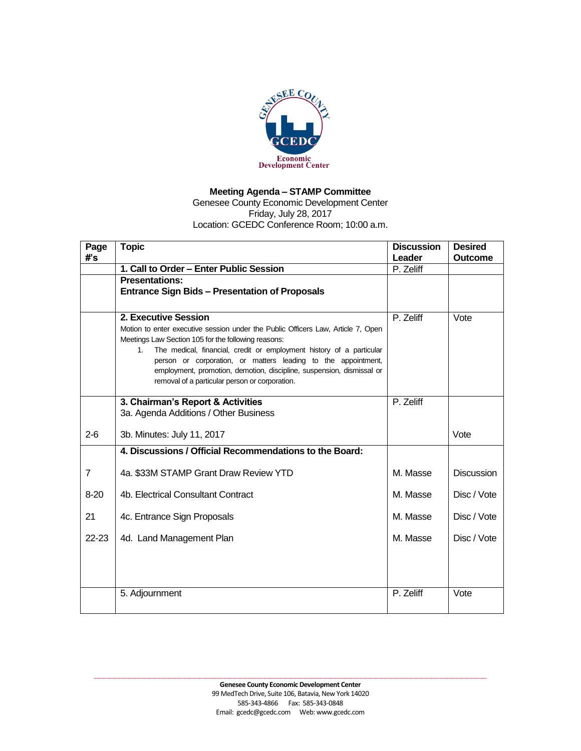

## **Meeting Agenda – STAMP Committee**

Genesee County Economic Development Center Friday, July 28, 2017 Location: GCEDC Conference Room; 10:00 a.m.

| Page<br>#'s    | <b>Topic</b>                                                                                                                      | <b>Discussion</b><br>Leader | <b>Desired</b><br><b>Outcome</b> |
|----------------|-----------------------------------------------------------------------------------------------------------------------------------|-----------------------------|----------------------------------|
|                | 1. Call to Order - Enter Public Session                                                                                           | P. Zeliff                   |                                  |
|                | <b>Presentations:</b><br><b>Entrance Sign Bids - Presentation of Proposals</b>                                                    |                             |                                  |
|                |                                                                                                                                   |                             |                                  |
|                | 2. Executive Session                                                                                                              | P. Zeliff                   | Vote                             |
|                | Motion to enter executive session under the Public Officers Law, Article 7, Open                                                  |                             |                                  |
|                | Meetings Law Section 105 for the following reasons:<br>The medical, financial, credit or employment history of a particular<br>1. |                             |                                  |
|                | person or corporation, or matters leading to the appointment,                                                                     |                             |                                  |
|                | employment, promotion, demotion, discipline, suspension, dismissal or                                                             |                             |                                  |
|                | removal of a particular person or corporation.                                                                                    |                             |                                  |
|                | 3. Chairman's Report & Activities                                                                                                 | P. Zeliff                   |                                  |
|                | 3a. Agenda Additions / Other Business                                                                                             |                             |                                  |
| $2 - 6$        | 3b. Minutes: July 11, 2017                                                                                                        |                             | Vote                             |
|                | 4. Discussions / Official Recommendations to the Board:                                                                           |                             |                                  |
| $\overline{7}$ | 4a. \$33M STAMP Grant Draw Review YTD                                                                                             | M. Masse                    | <b>Discussion</b>                |
|                |                                                                                                                                   |                             |                                  |
| $8 - 20$       | 4b. Electrical Consultant Contract                                                                                                | M. Masse                    | Disc / Vote                      |
| 21             | 4c. Entrance Sign Proposals                                                                                                       | M. Masse                    | Disc / Vote                      |
| $22 - 23$      | 4d. Land Management Plan                                                                                                          | M. Masse                    | Disc / Vote                      |
|                |                                                                                                                                   |                             |                                  |
|                |                                                                                                                                   |                             |                                  |
|                |                                                                                                                                   |                             |                                  |
|                | 5. Adjournment                                                                                                                    | P. Zeliff                   | Vote                             |
|                |                                                                                                                                   |                             |                                  |

**\_\_\_\_\_\_\_\_\_\_\_\_\_\_\_\_\_\_\_\_\_\_\_\_\_\_\_\_\_\_\_\_\_\_\_\_\_\_\_\_\_\_\_\_\_\_\_\_\_\_\_\_\_\_\_\_\_\_\_\_\_\_\_\_\_\_\_\_\_\_\_\_\_\_\_\_\_\_**